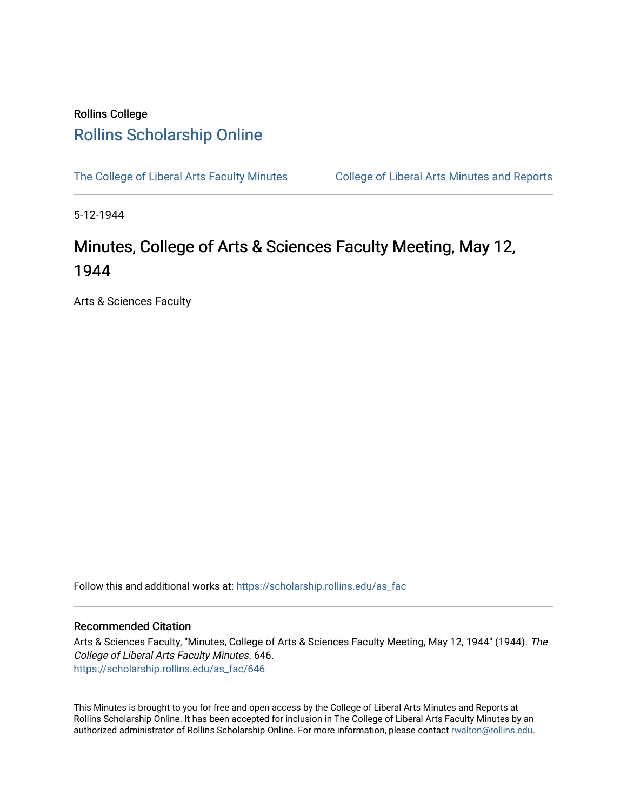## Rollins College [Rollins Scholarship Online](https://scholarship.rollins.edu/)

[The College of Liberal Arts Faculty Minutes](https://scholarship.rollins.edu/as_fac) College of Liberal Arts Minutes and Reports

5-12-1944

## Minutes, College of Arts & Sciences Faculty Meeting, May 12, 1944

Arts & Sciences Faculty

Follow this and additional works at: [https://scholarship.rollins.edu/as\\_fac](https://scholarship.rollins.edu/as_fac?utm_source=scholarship.rollins.edu%2Fas_fac%2F646&utm_medium=PDF&utm_campaign=PDFCoverPages) 

## Recommended Citation

Arts & Sciences Faculty, "Minutes, College of Arts & Sciences Faculty Meeting, May 12, 1944" (1944). The College of Liberal Arts Faculty Minutes. 646. [https://scholarship.rollins.edu/as\\_fac/646](https://scholarship.rollins.edu/as_fac/646?utm_source=scholarship.rollins.edu%2Fas_fac%2F646&utm_medium=PDF&utm_campaign=PDFCoverPages) 

This Minutes is brought to you for free and open access by the College of Liberal Arts Minutes and Reports at Rollins Scholarship Online. It has been accepted for inclusion in The College of Liberal Arts Faculty Minutes by an authorized administrator of Rollins Scholarship Online. For more information, please contact [rwalton@rollins.edu](mailto:rwalton@rollins.edu).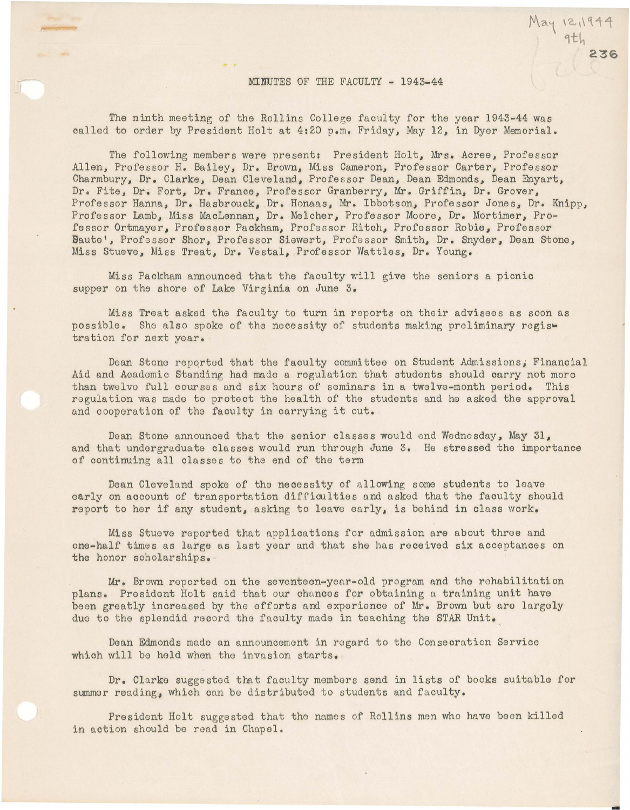The ninth meeting of the Rollins College faculty for the year 1943-44 was called to order by President Holt at 4:20 p.m. Friday, May 12, in Dyer Memorial.

The following members were present: President Holt, Mrs. Acree, Professor Allen, Professor H. Bailey, Dr. Brown, Miss Cameron, Professor Carter, Professor Charmbury, Dr. Clarke, Dean Cleveland, Professor Dean, Dean Edmonds, Dean Enyart, Dr. Fite, Dr. Fort, Dr. France, Professor Granberry, Mr. Griffin, Dr. Grover, Professor Hanna, Dr. Hasbrouck, Dr. Honaas, Mr. Ibbotson, Professor Jones, Dr. Knipp, Professor Lamb, Miss MacLennan, Dr. Melcher, Professor Moore, Dr. Mortimer, Professor Ortmayer, Professor Packham, Professor Ritch, Professor Robie, Professor Baute', Professor Shor, Professor Siewert, Professor Smith, Dr. Snyder, Dean Stone, Miss Stueve, Miss Treat, Dr. Vestal, Professor Wattles, Dr. Young.

Miss Packham announced that the faculty will give the seniors a picnic supper on the shore of Lake Virginia on June 3.

Miss Treat asked the faculty to turn in reports on their advisees as soon as possible. She also spoke of the necessity of students making preliminary regis• tration for next year.

Dean Stone reported that the faculty committee on Student Admissions, Financial Aid and Academic Standing had made a regulation that students should carry not more than twelvo full courses and six hours of seminars in a twelve-month period. This regulation was mado to protect the health of tho students and he asked the approval and cooperation of the faculty in carrying it out.

Doan Stone announced that the senior classes would end Wednesday, May 31, and that undergraduate classes would run through June 3. He stressed the importance of continuing all classes to the end of the term

Dean Cleveland spoke of the necessity of allowing some students to leave early on account of transportation difficulties and asked that the faculty should report to her if any student, asking to leave early, is behind in class work.

Miss Stueve reported that applications for admission are about throe and one-half times as large as last year and that she has received six acceptances on the honor scholarships.

Mr. Brown reported on the seventeen-year-old program and tho rehabilitation plans. President Holt said that our chances for obtaining a training unit have been greatly increased by the efforts and experience of Mr. Brown but are largely due to the splendid record the faculty made in teaching the STAR Unit.

Dean Edmonds made an announcement in regard to the Consecration Service which will be held when the invasion starts.

Dr. Clarke suggested that faculty members send in lists of books suitable for summer reading, which can be distributed to students and faculty.

President Holt suggested that tho names of Rollins men who have been killed in action should be read in Chapel.

9th **236** 

 $May 12,1944$